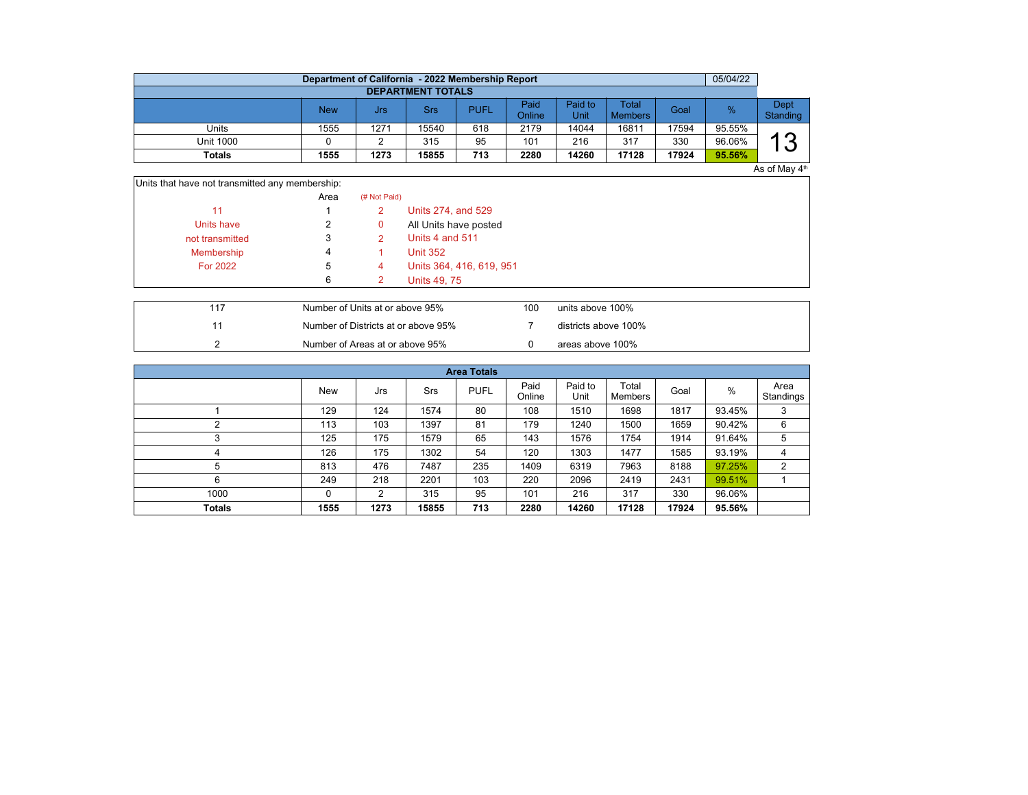|                          | 05/04/22<br>Department of California - 2022 Membership Report |      |       |             |                |                 |                         |       |        |                  |  |  |  |  |
|--------------------------|---------------------------------------------------------------|------|-------|-------------|----------------|-----------------|-------------------------|-------|--------|------------------|--|--|--|--|
| <b>DEPARTMENT TOTALS</b> |                                                               |      |       |             |                |                 |                         |       |        |                  |  |  |  |  |
|                          | <b>New</b>                                                    | Jrs  | Srs   | <b>PUFL</b> | Paid<br>Online | Paid to<br>Unit | Total<br><b>Members</b> | Goal  | %      | Dept<br>Standing |  |  |  |  |
| Units                    | 1555                                                          | 1271 | 15540 | 618         | 2179           | 14044           | 16811                   | 17594 | 95.55% |                  |  |  |  |  |
| <b>Unit 1000</b>         |                                                               |      | 315   | 95          | 101            | 216             | 317                     | 330   | 96.06% | $\sim$<br>л      |  |  |  |  |
| Totals                   | 1555                                                          | 1273 | 15855 | 713         | 2280           | 14260           | 17128                   | 17924 | 95.56% |                  |  |  |  |  |

 $As$  of May  $4<sup>th</sup>$ 

| Units that have not transmitted any membership: |
|-------------------------------------------------|
|-------------------------------------------------|

|                 | Area | (# Not Paid) |                          |
|-----------------|------|--------------|--------------------------|
| 11              |      | 2            | Units 274, and 529       |
| Units have      | 2    | 0            | All Units have posted    |
| not transmitted | 3    |              | Units 4 and 511          |
| Membership      | 4    |              | <b>Unit 352</b>          |
| For 2022        | b    | 4            | Units 364, 416, 619, 951 |
|                 | 6    |              | Units 49, 75             |

|  | Number of Units at or above 95%     | 100 | units above 100%     |
|--|-------------------------------------|-----|----------------------|
|  | Number of Districts at or above 95% |     | districts above 100% |
|  | Number of Areas at or above 95%     |     | areas above 100%     |

| <b>Area Totals</b> |            |      |       |             |                |                 |                  |       |        |                   |  |  |  |  |
|--------------------|------------|------|-------|-------------|----------------|-----------------|------------------|-------|--------|-------------------|--|--|--|--|
|                    | <b>New</b> | Jrs  | Srs   | <b>PUFL</b> | Paid<br>Online | Paid to<br>Unit | Total<br>Members | Goal  | %      | Area<br>Standings |  |  |  |  |
|                    | 129        | 124  | 1574  | 80          | 108            | 1510            | 1698             | 1817  | 93.45% | 3                 |  |  |  |  |
| c                  | 113        | 103  | 1397  | 81          | 179            | 1240            | 1500             | 1659  | 90.42% | 6                 |  |  |  |  |
| 3                  | 125        | 175  | 1579  | 65          | 143            | 1576            | 1754             | 1914  | 91.64% | 5                 |  |  |  |  |
| 4                  | 126        | 175  | 1302  | 54          | 120            | 1303            | 1477             | 1585  | 93.19% | 4                 |  |  |  |  |
| 5                  | 813        | 476  | 7487  | 235         | 1409           | 6319            | 7963             | 8188  | 97.25% | $\overline{2}$    |  |  |  |  |
| 6                  | 249        | 218  | 2201  | 103         | 220            | 2096            | 2419             | 2431  | 99.51% |                   |  |  |  |  |
| 1000               | 0          | 2    | 315   | 95          | 101            | 216             | 317              | 330   | 96.06% |                   |  |  |  |  |
| <b>Totals</b>      | 1555       | 1273 | 15855 | 713         | 2280           | 14260           | 17128            | 17924 | 95.56% |                   |  |  |  |  |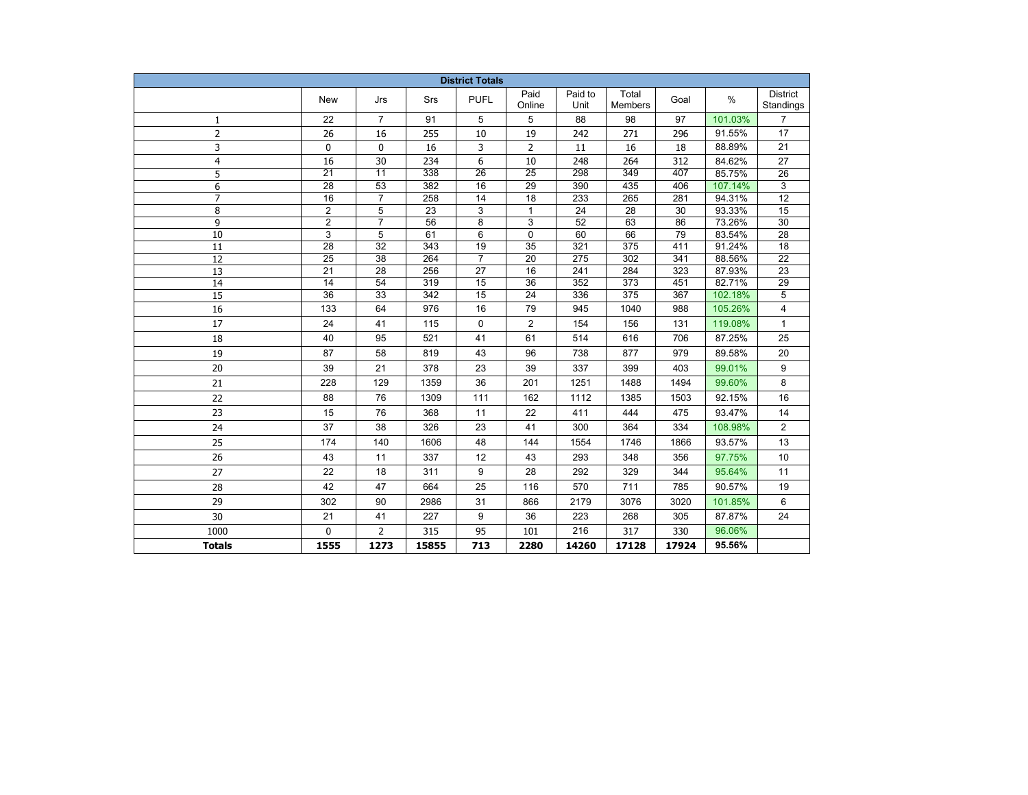| <b>District Totals</b> |                 |                 |       |                 |                 |                 |                         |       |         |                       |  |  |
|------------------------|-----------------|-----------------|-------|-----------------|-----------------|-----------------|-------------------------|-------|---------|-----------------------|--|--|
|                        | New             | Jrs             | Srs   | <b>PUFL</b>     | Paid<br>Online  | Paid to<br>Unit | Total<br><b>Members</b> | Goal  | $\%$    | District<br>Standings |  |  |
| 1                      | 22              | $\overline{7}$  | 91    | 5               | 5               | 88              | 98                      | 97    | 101.03% | $\overline{7}$        |  |  |
| $\overline{2}$         | 26              | 16              | 255   | 10              | 19              | 242             | 271                     | 296   | 91.55%  | 17                    |  |  |
| 3                      | 0               | 0               | 16    | 3               | 2               | 11              | 16                      | 18    | 88.89%  | 21                    |  |  |
| $\overline{4}$         | 16              | 30              | 234   | 6               | 10              | 248             | 264                     | 312   | 84.62%  | 27                    |  |  |
| 5                      | $\overline{21}$ | $\overline{11}$ | 338   | $\overline{26}$ | $\overline{25}$ | 298             | 349                     | 407   | 85.75%  | 26                    |  |  |
| 6                      | $\overline{28}$ | $\overline{53}$ | 382   | 16              | $\overline{29}$ | 390             | 435                     | 406   | 107.14% | 3                     |  |  |
| $\overline{7}$         | 16              | $\overline{7}$  | 258   | 14              | $\overline{18}$ | 233             | 265                     | 281   | 94.31%  | $\overline{12}$       |  |  |
| 8                      | $\overline{2}$  | 5               | 23    | 3               | $\mathbf{1}$    | 24              | 28                      | 30    | 93.33%  | $\overline{15}$       |  |  |
| 9                      | $\overline{c}$  | $\overline{7}$  | 56    | 8               | 3               | 52              | 63                      | 86    | 73.26%  | 30                    |  |  |
| 10                     | 3               | 5               | 61    | 6               | 0               | 60              | 66                      | 79    | 83.54%  | 28                    |  |  |
| 11                     | 28              | 32              | 343   | 19              | 35              | 321             | 375                     | 411   | 91.24%  | 18                    |  |  |
| 12                     | 25              | 38              | 264   | $\overline{7}$  | 20              | 275             | 302                     | 341   | 88.56%  | 22                    |  |  |
| 13                     | 21              | 28              | 256   | 27              | 16              | 241             | 284                     | 323   | 87.93%  | 23                    |  |  |
| 14                     | 14              | 54              | 319   | 15              | $\overline{36}$ | 352             | 373                     | 451   | 82.71%  | 29                    |  |  |
| $\overline{15}$        | $\overline{36}$ | $\overline{33}$ | 342   | 15              | $\overline{24}$ | 336             | 375                     | 367   | 102.18% | 5                     |  |  |
| 16                     | 133             | 64              | 976   | 16              | 79              | 945             | 1040                    | 988   | 105.26% | 4                     |  |  |
| 17                     | 24              | 41              | 115   | $\mathbf 0$     | $\overline{2}$  | 154             | 156                     | 131   | 119.08% | $\mathbf{1}$          |  |  |
| 18                     | 40              | 95              | 521   | 41              | 61              | 514             | 616                     | 706   | 87.25%  | 25                    |  |  |
| 19                     | 87              | 58              | 819   | 43              | 96              | 738             | 877                     | 979   | 89.58%  | 20                    |  |  |
| 20                     | 39              | 21              | 378   | 23              | 39              | 337             | 399                     | 403   | 99.01%  | 9                     |  |  |
| 21                     | 228             | 129             | 1359  | 36              | 201             | 1251            | 1488                    | 1494  | 99.60%  | 8                     |  |  |
| 22                     | 88              | 76              | 1309  | 111             | 162             | 1112            | 1385                    | 1503  | 92.15%  | 16                    |  |  |
| 23                     | 15              | 76              | 368   | 11              | 22              | 411             | 444                     | 475   | 93.47%  | 14                    |  |  |
| 24                     | 37              | 38              | 326   | 23              | 41              | 300             | 364                     | 334   | 108.98% | 2                     |  |  |
| 25                     | 174             | 140             | 1606  | 48              | 144             | 1554            | 1746                    | 1866  | 93.57%  | 13                    |  |  |
| 26                     | 43              | 11              | 337   | 12              | 43              | 293             | 348                     | 356   | 97.75%  | 10                    |  |  |
| 27                     | 22              | 18              | 311   | 9               | 28              | 292             | 329                     | 344   | 95.64%  | 11                    |  |  |
| 28                     | 42              | 47              | 664   | 25              | 116             | 570             | 711                     | 785   | 90.57%  | 19                    |  |  |
| 29                     | 302             | 90              | 2986  | 31              | 866             | 2179            | 3076                    | 3020  | 101.85% | 6                     |  |  |
| 30                     | 21              | 41              | 227   | 9               | 36              | 223             | 268                     | 305   | 87.87%  | 24                    |  |  |
| 1000                   | $\Omega$        | $\overline{2}$  | 315   | 95              | 101             | 216             | 317                     | 330   | 96.06%  |                       |  |  |
| <b>Totals</b>          | 1555            | 1273            | 15855 | 713             | 2280            | 14260           | 17128                   | 17924 | 95.56%  |                       |  |  |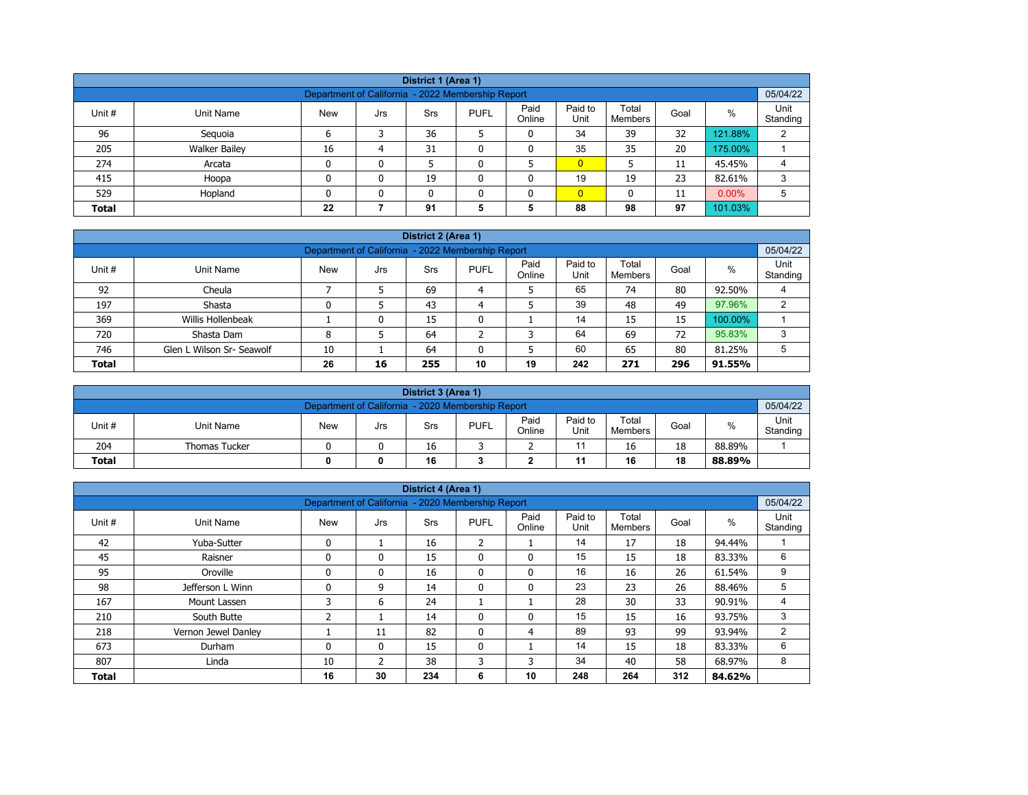|              | District 1 (Area 1)                                           |            |     |            |             |                |                 |                         |      |          |                  |  |  |  |
|--------------|---------------------------------------------------------------|------------|-----|------------|-------------|----------------|-----------------|-------------------------|------|----------|------------------|--|--|--|
|              | 05/04/22<br>Department of California - 2022 Membership Report |            |     |            |             |                |                 |                         |      |          |                  |  |  |  |
| Unit #       | Unit Name                                                     | <b>New</b> | Jrs | <b>Srs</b> | <b>PUFL</b> | Paid<br>Online | Paid to<br>Unit | Total<br><b>Members</b> | Goal | $\%$     | Unit<br>Standing |  |  |  |
| 96           | Seguoia                                                       | 6          |     | 36         |             | 0              | 34              | 39                      | 32   | 121.88%  | 2                |  |  |  |
| 205          | <b>Walker Bailey</b>                                          | 16         | 4   | 31         |             | 0              | 35              | 35                      | 20   | 175.00%  |                  |  |  |  |
| 274          | Arcata                                                        | 0          | 0   |            |             |                | $\overline{0}$  |                         | 11   | 45.45%   | 4                |  |  |  |
| 415          | Hoopa                                                         | 0          | 0   | 19         |             | 0              | 19              | 19                      | 23   | 82.61%   | 3                |  |  |  |
| 529          | Hopland                                                       | n          | 0   |            |             | $\mathbf{0}$   | $\overline{0}$  | 0                       | 11   | $0.00\%$ | 5                |  |  |  |
| <b>Total</b> |                                                               | 22         |     | 91         | 5           | 5              | 88              | 98                      | 97   | 101.03%  |                  |  |  |  |

| District 2 (Area 1) |                                                               |            |     |     |             |                |                 |                  |      |         |                  |  |  |  |
|---------------------|---------------------------------------------------------------|------------|-----|-----|-------------|----------------|-----------------|------------------|------|---------|------------------|--|--|--|
|                     | 05/04/22<br>Department of California - 2022 Membership Report |            |     |     |             |                |                 |                  |      |         |                  |  |  |  |
| Unit #              | Unit Name                                                     | <b>New</b> | Jrs | Srs | <b>PUFL</b> | Paid<br>Online | Paid to<br>Unit | Total<br>Members | Goal | $\%$    | Unit<br>Standing |  |  |  |
| 92                  | Cheula                                                        |            |     | 69  | 4           |                | 65              | 74               | 80   | 92.50%  |                  |  |  |  |
| 197                 | Shasta                                                        |            |     | 43  | 4           |                | 39              | 48               | 49   | 97.96%  | ົ                |  |  |  |
| 369                 | Willis Hollenbeak                                             |            | 0   | 15  | 0           |                | 14              | 15               | 15   | 100.00% |                  |  |  |  |
| 720                 | Shasta Dam                                                    | 8          |     | 64  | ີ           | 3              | 64              | 69               | 72   | 95.83%  | 3                |  |  |  |
| 746                 | Glen L Wilson Sr- Seawolf                                     | 10         |     | 64  | 0           | 5              | 60              | 65               | 80   | 81.25%  | 5                |  |  |  |
| <b>Total</b>        |                                                               | 26         | 16  | 255 | 10          | 19             | 242             | 271              | 296  | 91.55%  |                  |  |  |  |

|                                                   | District 3 (Area 1)  |            |     |     |             |                |                 |                  |      |        |                  |  |  |  |
|---------------------------------------------------|----------------------|------------|-----|-----|-------------|----------------|-----------------|------------------|------|--------|------------------|--|--|--|
| Department of California - 2020 Membership Report |                      |            |     |     |             |                |                 |                  |      |        |                  |  |  |  |
| Unit #                                            | Unit Name            | <b>New</b> | Jrs | Srs | <b>PUFL</b> | Paid<br>Online | Paid to<br>Unit | Total<br>Members | Goal | %      | Unit<br>Standing |  |  |  |
| 204                                               | <b>Thomas Tucker</b> |            |     | 16  |             |                |                 | 16               | 18   | 88.89% |                  |  |  |  |
| <b>Total</b>                                      |                      |            | 0   | 16  |             |                | 11              | 16               | 18   | 88.89% |                  |  |  |  |

| District 4 (Area 1) |                     |                                                   |              |     |                |                |                 |                  |      |        |                  |  |  |
|---------------------|---------------------|---------------------------------------------------|--------------|-----|----------------|----------------|-----------------|------------------|------|--------|------------------|--|--|
|                     |                     | Department of California - 2020 Membership Report |              |     |                |                |                 |                  |      |        | 05/04/22         |  |  |
| Unit #              | Unit Name           | <b>New</b>                                        | Jrs          | Srs | <b>PUFL</b>    | Paid<br>Online | Paid to<br>Unit | Total<br>Members | Goal | $\%$   | Unit<br>Standing |  |  |
| 42                  | Yuba-Sutter         | $\mathbf{0}$                                      |              | 16  | $\overline{2}$ |                | 14              | 17               | 18   | 94.44% |                  |  |  |
| 45                  | Raisner             | $\mathbf{0}$                                      | 0            | 15  | $\mathbf{0}$   | $\mathbf{0}$   | 15              | 15               | 18   | 83.33% | 6                |  |  |
| 95                  | Oroville            | $\Omega$                                          | 0            | 16  | $\mathbf{0}$   | $\mathbf{0}$   | 16              | 16               | 26   | 61.54% | 9                |  |  |
| 98                  | Jefferson L Winn    | $\mathbf{0}$                                      | 9            | 14  | 0              | 0              | 23              | 23               | 26   | 88.46% | 5                |  |  |
| 167                 | Mount Lassen        | 3                                                 | 6            | 24  |                |                | 28              | 30               | 33   | 90.91% | 4                |  |  |
| 210                 | South Butte         | 2                                                 |              | 14  | $\mathbf{0}$   | 0              | 15              | 15               | 16   | 93.75% | 3                |  |  |
| 218                 | Vernon Jewel Danley |                                                   | 11           | 82  | $\mathbf{0}$   | 4              | 89              | 93               | 99   | 93.94% | 2                |  |  |
| 673                 | Durham              | $\mathbf{0}$                                      | $\mathbf{0}$ | 15  | $\mathbf{0}$   |                | 14              | 15               | 18   | 83.33% | 6                |  |  |
| 807                 | Linda               | 10                                                | 2            | 38  | 3              | 3              | 34              | 40               | 58   | 68.97% | 8                |  |  |
| <b>Total</b>        |                     | 16                                                | 30           | 234 | 6              | 10             | 248             | 264              | 312  | 84.62% |                  |  |  |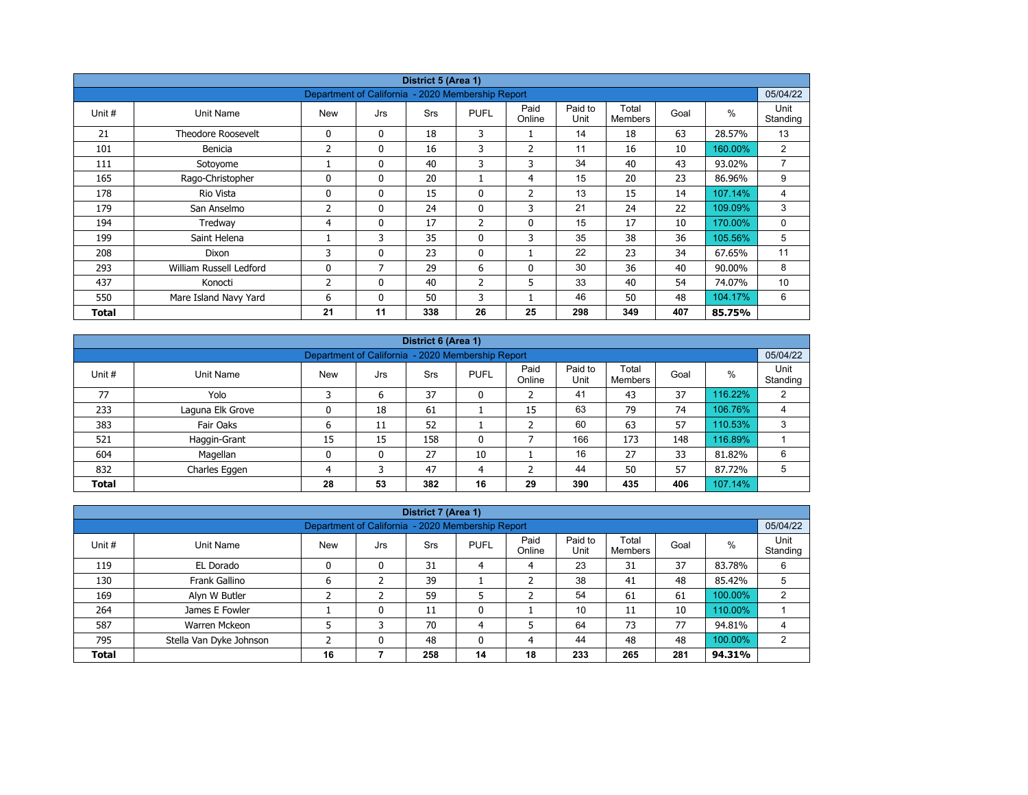|        | District 5 (Area 1)       |                                                   |              |            |                |                |                 |                         |      |         |                  |  |  |  |
|--------|---------------------------|---------------------------------------------------|--------------|------------|----------------|----------------|-----------------|-------------------------|------|---------|------------------|--|--|--|
|        |                           | Department of California - 2020 Membership Report |              |            |                |                |                 |                         |      |         | 05/04/22         |  |  |  |
| Unit # | Unit Name                 | <b>New</b>                                        | Jrs          | <b>Srs</b> | <b>PUFL</b>    | Paid<br>Online | Paid to<br>Unit | Total<br><b>Members</b> | Goal | $\%$    | Unit<br>Standing |  |  |  |
| 21     | <b>Theodore Roosevelt</b> | 0                                                 | $\mathbf{0}$ | 18         | 3              |                | 14              | 18                      | 63   | 28.57%  | 13               |  |  |  |
| 101    | Benicia                   | 2                                                 | 0            | 16         | 3              | $\overline{2}$ | 11              | 16                      | 10   | 160.00% | $\overline{2}$   |  |  |  |
| 111    | Sotoyome                  |                                                   | $\mathbf{0}$ | 40         | 3              | 3              | 34              | 40                      | 43   | 93.02%  | $\overline{7}$   |  |  |  |
| 165    | Rago-Christopher          | $\Omega$                                          | $\mathbf{0}$ | 20         |                | 4              | 15              | 20                      | 23   | 86.96%  | 9                |  |  |  |
| 178    | Rio Vista                 | 0                                                 | $\mathbf{0}$ | 15         | 0              | 2              | 13              | 15                      | 14   | 107.14% | 4                |  |  |  |
| 179    | San Anselmo               | 2                                                 | $\mathbf{0}$ | 24         | $\mathbf{0}$   | 3              | 21              | 24                      | 22   | 109.09% | 3                |  |  |  |
| 194    | Tredway                   | 4                                                 | 0            | 17         | $\overline{2}$ | $\mathbf 0$    | 15              | 17                      | 10   | 170.00% | 0                |  |  |  |
| 199    | Saint Helena              |                                                   | 3            | 35         | $\mathbf{0}$   | 3              | 35              | 38                      | 36   | 105.56% | 5                |  |  |  |
| 208    | Dixon                     | 3                                                 | 0            | 23         | $\mathbf{0}$   |                | 22              | 23                      | 34   | 67.65%  | 11               |  |  |  |
| 293    | William Russell Ledford   | 0                                                 | 7            | 29         | 6              | 0              | 30              | 36                      | 40   | 90.00%  | 8                |  |  |  |
| 437    | Konocti                   | 2                                                 | $\mathbf{0}$ | 40         | $\overline{2}$ | 5              | 33              | 40                      | 54   | 74.07%  | 10               |  |  |  |
| 550    | Mare Island Navy Yard     | 6                                                 | $\mathbf{0}$ | 50         | 3              |                | 46              | 50                      | 48   | 104.17% | 6                |  |  |  |
| Total  |                           | 21                                                | 11           | 338        | 26             | 25             | 298             | 349                     | 407  | 85.75%  |                  |  |  |  |

|              | District 6 (Area 1)                                           |            |     |            |              |                |                 |                         |      |         |                  |  |  |  |
|--------------|---------------------------------------------------------------|------------|-----|------------|--------------|----------------|-----------------|-------------------------|------|---------|------------------|--|--|--|
|              | 05/04/22<br>Department of California - 2020 Membership Report |            |     |            |              |                |                 |                         |      |         |                  |  |  |  |
| Unit #       | Unit Name                                                     | <b>New</b> | Jrs | <b>Srs</b> | <b>PUFL</b>  | Paid<br>Online | Paid to<br>Unit | Total<br><b>Members</b> | Goal | %       | Unit<br>Standing |  |  |  |
| 77           | Yolo                                                          |            | 6   | 37         | 0            |                | 41              | 43                      | 37   | 116.22% | 2                |  |  |  |
| 233          | Laguna Elk Grove                                              |            | 18  | 61         |              | 15             | 63              | 79                      | 74   | 106.76% | 4                |  |  |  |
| 383          | Fair Oaks                                                     | ь          | 11  | 52         |              |                | 60              | 63                      | 57   | 110.53% | 3                |  |  |  |
| 521          | Haggin-Grant                                                  | 15         | 15  | 158        | $\mathbf{0}$ |                | 166             | 173                     | 148  | 116.89% |                  |  |  |  |
| 604          | Magellan                                                      | 0          | 0   | 27         | 10           |                | 16              | 27                      | 33   | 81.82%  | 6                |  |  |  |
| 832          | Charles Eggen                                                 | 4          | 3   | 47         | 4            |                | 44              | 50                      | 57   | 87.72%  | 5                |  |  |  |
| <b>Total</b> |                                                               | 28         | 53  | 382        | 16           | 29             | 390             | 435                     | 406  | 107.14% |                  |  |  |  |

| District 7 (Area 1)<br>Department of California - 2020 Membership Report                                                                                           |                |    |   |     |    |    |     |     |     |         |          |  |  |
|--------------------------------------------------------------------------------------------------------------------------------------------------------------------|----------------|----|---|-----|----|----|-----|-----|-----|---------|----------|--|--|
|                                                                                                                                                                    |                |    |   |     |    |    |     |     |     |         | 05/04/22 |  |  |
| Paid to<br>Unit<br>Paid<br>Total<br>$\%$<br>Unit #<br><b>New</b><br>Unit Name<br><b>PUFL</b><br>Goal<br><b>Srs</b><br>Jrs<br>Online<br>Unit<br>Standing<br>Members |                |    |   |     |    |    |     |     |     |         |          |  |  |
| 119                                                                                                                                                                | EL Dorado      |    | 0 | 31  | 4  | 4  | 23  | 31  | 37  | 83.78%  | 6        |  |  |
| 130                                                                                                                                                                | Frank Gallino  | 6  |   | 39  |    |    | 38  | 41  | 48  | 85.42%  |          |  |  |
| 169                                                                                                                                                                | Alyn W Butler  |    |   | 59  |    |    | 54  | 61  | 61  | 100.00% | ົ        |  |  |
| 264                                                                                                                                                                | James E Fowler |    | 0 | 11  | 0  |    | 10  | 11  | 10  | 110.00% |          |  |  |
| 587                                                                                                                                                                | Warren Mckeon  |    | 3 | 70  | 4  |    | 64  | 73  | 77  | 94.81%  | 4        |  |  |
| 44<br>48<br>100.00%<br>795<br>48<br>48<br>Stella Van Dyke Johnson<br>$\mathbf{0}$<br>0<br>2<br>4                                                                   |                |    |   |     |    |    |     |     |     |         |          |  |  |
| <b>Total</b>                                                                                                                                                       |                | 16 |   | 258 | 14 | 18 | 233 | 265 | 281 | 94.31%  |          |  |  |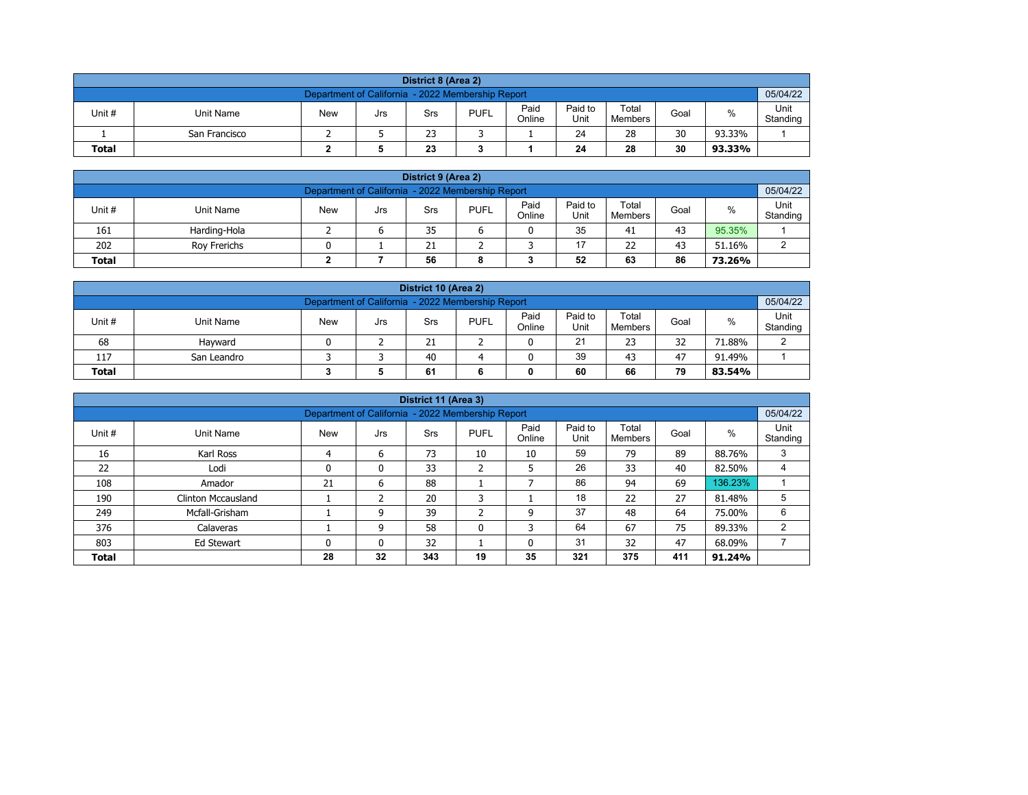| District 8 (Area 2)                                                                                                                              |                                                               |  |  |  |  |  |  |  |  |  |  |  |  |  |
|--------------------------------------------------------------------------------------------------------------------------------------------------|---------------------------------------------------------------|--|--|--|--|--|--|--|--|--|--|--|--|--|
|                                                                                                                                                  | 05/04/22<br>Department of California - 2022 Membership Report |  |  |  |  |  |  |  |  |  |  |  |  |  |
| Paid<br>Paid to<br>Total<br>%<br>Unit #<br><b>PUFL</b><br><b>New</b><br>Unit Name<br>Goal<br>Srs<br>Jrs<br>Online<br>Unit<br>Standing<br>Members |                                                               |  |  |  |  |  |  |  |  |  |  |  |  |  |
|                                                                                                                                                  | 30<br>24<br>28<br>23<br>93.33%<br>San Francisco               |  |  |  |  |  |  |  |  |  |  |  |  |  |
| 30<br>23<br>28<br>24<br><b>Total</b><br>93.33%                                                                                                   |                                                               |  |  |  |  |  |  |  |  |  |  |  |  |  |

| District 9 (Area 2)                                                                                                                                     |              |  |  |    |  |  |    |    |    |        |   |  |  |
|---------------------------------------------------------------------------------------------------------------------------------------------------------|--------------|--|--|----|--|--|----|----|----|--------|---|--|--|
| Department of California - 2022 Membership Report                                                                                                       |              |  |  |    |  |  |    |    |    |        |   |  |  |
| Paid<br>Paid to<br>Total<br>Unit #<br><b>PUFL</b><br>%<br><b>New</b><br><b>Unit Name</b><br>Goal<br>Srs<br>Jrs<br>Online<br>Unit<br>Standing<br>Members |              |  |  |    |  |  |    |    |    |        |   |  |  |
| 161                                                                                                                                                     | Harding-Hola |  |  | 35 |  |  | 35 | 41 | 43 | 95.35% |   |  |  |
| 202                                                                                                                                                     | Rov Frerichs |  |  | 21 |  |  | 17 | 22 | 43 | 51.16% | ົ |  |  |
| 52<br>86<br>56<br>63<br><b>Total</b><br>73.26%<br>8                                                                                                     |              |  |  |    |  |  |    |    |    |        |   |  |  |

| District 10 (Area 2)                                                                                                                                |                                               |  |  |    |  |  |    |    |    |        |        |  |  |
|-----------------------------------------------------------------------------------------------------------------------------------------------------|-----------------------------------------------|--|--|----|--|--|----|----|----|--------|--------|--|--|
| Department of California - 2022 Membership Report                                                                                                   |                                               |  |  |    |  |  |    |    |    |        |        |  |  |
| Paid<br>Paid to<br>Total<br>$\%$<br>Unit #<br><b>PUFL</b><br>Unit Name<br><b>New</b><br>Goal<br>Srs<br>Jrs<br>Online<br>Standing<br>Unit<br>Members |                                               |  |  |    |  |  |    |    |    |        |        |  |  |
| 68                                                                                                                                                  | Havward                                       |  |  | 21 |  |  | 21 | 23 | 32 | 71.88% | $\sim$ |  |  |
| 117                                                                                                                                                 | 39<br>40<br>47<br>43<br>91.49%<br>San Leandro |  |  |    |  |  |    |    |    |        |        |  |  |
| 79<br><b>Total</b><br>60<br>66<br>61<br>83.54%                                                                                                      |                                               |  |  |    |  |  |    |    |    |        |        |  |  |

|              |                                                             |                                                   |     | District 11 (Area 3) |                             |                |                 |                  |      |         |                  |
|--------------|-------------------------------------------------------------|---------------------------------------------------|-----|----------------------|-----------------------------|----------------|-----------------|------------------|------|---------|------------------|
|              |                                                             | Department of California - 2022 Membership Report |     |                      |                             |                |                 |                  |      |         | 05/04/22         |
| Unit #       | Unit Name                                                   | <b>New</b>                                        | Jrs | <b>Srs</b>           | <b>PUFL</b>                 | Paid<br>Online | Paid to<br>Unit | Total<br>Members | Goal | $\%$    | Unit<br>Standing |
| 16           | Karl Ross                                                   | 4                                                 | 6   | 73                   | 10                          | 10             | 59              | 79               | 89   | 88.76%  | 3                |
| 22           | Lodi                                                        |                                                   | 0   | 33                   | ∍<br>$\epsilon$             | 5              | 26              | 33               | 40   | 82.50%  | 4                |
| 108          | Amador                                                      | 21                                                | 6   | 88                   |                             |                | 86              | 94               | 69   | 136.23% |                  |
| 190          | <b>Clinton Mccausland</b>                                   |                                                   |     | 20                   | 3                           |                | 18              | 22               | 27   | 81.48%  | 5                |
| 249          | Mcfall-Grisham                                              |                                                   | 9   | 39                   | $\mathbf{\overline{}}$<br>∠ | 9              | 37              | 48               | 64   | 75.00%  | 6                |
| 376          | Calaveras                                                   |                                                   | 9   | 58                   | 0                           | 3              | 64              | 67               | 75   | 89.33%  | 2                |
| 803          | 32<br>31<br>47<br>32<br>68.09%<br>Ed Stewart<br>0<br>0<br>0 |                                                   |     |                      |                             |                |                 |                  |      |         |                  |
| <b>Total</b> |                                                             | 28                                                | 32  | 343                  | 19                          | 35             | 321             | 375              | 411  | 91.24%  |                  |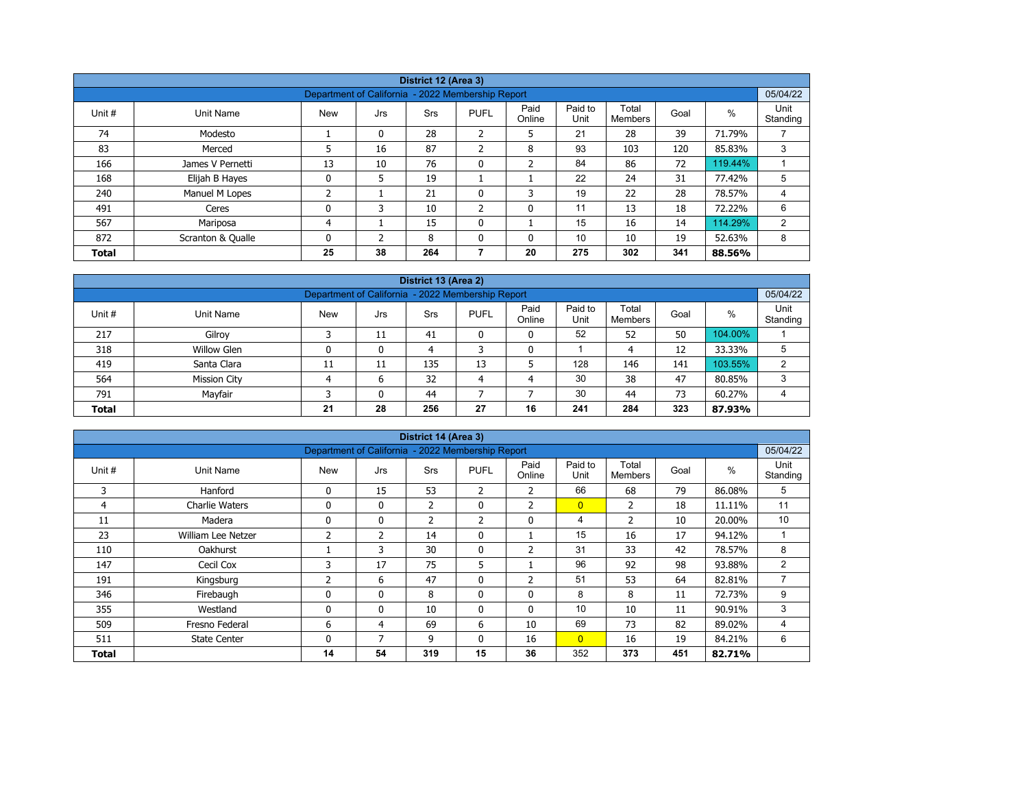|              | District 12 (Area 3) |                                                   |              |            |                |                |                 |                  |      |         |                  |  |  |  |
|--------------|----------------------|---------------------------------------------------|--------------|------------|----------------|----------------|-----------------|------------------|------|---------|------------------|--|--|--|
|              |                      |                                                   |              |            |                |                |                 |                  |      |         |                  |  |  |  |
|              |                      | Department of California - 2022 Membership Report |              |            |                |                |                 |                  |      |         | 05/04/22         |  |  |  |
| Unit #       | Unit Name            | <b>New</b>                                        | Jrs          | <b>Srs</b> | <b>PUFL</b>    | Paid<br>Online | Paid to<br>Unit | Total<br>Members | Goal | %       | Unit<br>Standing |  |  |  |
| 74           | Modesto              |                                                   | 0            | 28         | 2              | 5              | 21              | 28               | 39   | 71.79%  |                  |  |  |  |
| 83           | Merced               | 5                                                 | 16           | 87         | $\mathcal{P}$  | 8              | 93              | 103              | 120  | 85.83%  | 3                |  |  |  |
| 166          | James V Pernetti     | 13                                                | 10           | 76         | $\mathbf{0}$   | $\overline{2}$ | 84              | 86               | 72   | 119.44% |                  |  |  |  |
| 168          | Elijah B Hayes       | 0                                                 | 5            | 19         |                |                | 22              | 24               | 31   | 77.42%  | 5                |  |  |  |
| 240          | Manuel M Lopes       | ำ<br>∠                                            |              | 21         | $\mathbf 0$    | 3              | 19              | 22               | 28   | 78.57%  | 4                |  |  |  |
| 491          | Ceres                | 0                                                 | 3            | 10         | $\overline{2}$ | $\mathbf{0}$   | 11              | 13               | 18   | 72.22%  | 6                |  |  |  |
| 567          | Mariposa             | 4                                                 |              | 15         | $\mathbf{0}$   |                | 15              | 16               | 14   | 114.29% | 2                |  |  |  |
| 872          | Scranton & Qualle    | 0                                                 | <sup>-</sup> | 8          | $\Omega$       | 0              | 10              | 10               | 19   | 52.63%  | 8                |  |  |  |
| <b>Total</b> |                      | 25                                                | 38           | 264        |                | 20             | 275             | 302              | 341  | 88.56%  |                  |  |  |  |

|                                                                       |                                                                                                                                                   |    |    | District 13 (Area 2) |    |    |     |     |     |         |   |  |  |  |  |
|-----------------------------------------------------------------------|---------------------------------------------------------------------------------------------------------------------------------------------------|----|----|----------------------|----|----|-----|-----|-----|---------|---|--|--|--|--|
|                                                                       | 05/04/22<br>Department of California - 2022 Membership Report                                                                                     |    |    |                      |    |    |     |     |     |         |   |  |  |  |  |
| Unit #                                                                | Paid to<br>Unit<br>Paid<br>Total<br>$\%$<br><b>New</b><br><b>PUFL</b><br>Unit Name<br>Goal<br>Srs<br>Jrs<br>Online<br>Standing<br>Unit<br>Members |    |    |                      |    |    |     |     |     |         |   |  |  |  |  |
| 217                                                                   | Gilroy                                                                                                                                            |    | 11 | 41                   |    | 0  | 52  | 52  | 50  | 104.00% |   |  |  |  |  |
| 318                                                                   | <b>Willow Glen</b>                                                                                                                                |    | 0  | 4                    |    | 0  |     | 4   | 12  | 33.33%  | 5 |  |  |  |  |
| 419                                                                   | Santa Clara                                                                                                                                       | 11 | 11 | 135                  | 13 |    | 128 | 146 | 141 | 103.55% | C |  |  |  |  |
| 564                                                                   | <b>Mission City</b>                                                                                                                               |    | 6  | 32                   | 4  | 4  | 30  | 38  | 47  | 80.85%  | 3 |  |  |  |  |
| Mayfair<br>30<br>73<br>791<br>44<br>44<br>60.27%<br>$\mathbf{0}$<br>4 |                                                                                                                                                   |    |    |                      |    |    |     |     |     |         |   |  |  |  |  |
| <b>Total</b>                                                          |                                                                                                                                                   | 21 | 28 | 256                  | 27 | 16 | 241 | 284 | 323 | 87.93%  |   |  |  |  |  |

|        |                       |                                                   |              | District 14 (Area 3) |              |                |                 |                         |      |        |                  |
|--------|-----------------------|---------------------------------------------------|--------------|----------------------|--------------|----------------|-----------------|-------------------------|------|--------|------------------|
|        |                       | Department of California - 2022 Membership Report |              |                      |              |                |                 |                         |      |        | 05/04/22         |
| Unit # | Unit Name             | <b>New</b>                                        | Jrs          | Srs                  | <b>PUFL</b>  | Paid<br>Online | Paid to<br>Unit | Total<br><b>Members</b> | Goal | %      | Unit<br>Standing |
| 3      | Hanford               | 0                                                 | 15           | 53                   | 2            | 2              | 66              | 68                      | 79   | 86.08% | 5                |
| 4      | <b>Charlie Waters</b> | 0                                                 | $\mathbf{0}$ | $\overline{2}$       | $\mathbf{0}$ | $\overline{2}$ | $\overline{0}$  | 2                       | 18   | 11.11% | 11               |
| 11     | Madera                | 0                                                 | 0            | $\overline{2}$       | 2            | 0              | 4               | $\overline{2}$          | 10   | 20.00% | 10               |
| 23     | William Lee Netzer    | 2                                                 | 2            | 14                   | $\mathbf{0}$ |                | 15              | 16                      | 17   | 94.12% |                  |
| 110    | <b>Oakhurst</b>       |                                                   | 3            | 30                   | 0            | $\overline{2}$ | 31              | 33                      | 42   | 78.57% | 8                |
| 147    | Cecil Cox             | 3                                                 | 17           | 75                   | 5            |                | 96              | 92                      | 98   | 93.88% | 2                |
| 191    | Kingsburg             | 2                                                 | 6            | 47                   | $\mathbf{0}$ | $\overline{2}$ | 51              | 53                      | 64   | 82.81% | 7                |
| 346    | Firebaugh             | 0                                                 | $\mathbf{0}$ | 8                    | 0            | 0              | 8               | 8                       | 11   | 72.73% | 9                |
| 355    | Westland              | $\mathbf 0$                                       | $\mathbf{0}$ | 10                   | $\mathbf{0}$ | $\mathbf{0}$   | 10              | 10                      | 11   | 90.91% | 3                |
| 509    | Fresno Federal        | 6                                                 | 4            | 69                   | 6            | 10             | 69              | 73                      | 82   | 89.02% | 4                |
| 511    | <b>State Center</b>   | 0                                                 | 7            | 9                    | $\mathbf{0}$ | 16             | $\overline{0}$  | 16                      | 19   | 84.21% | 6                |
| Total  |                       | 14                                                | 54           | 319                  | 15           | 36             | 352             | 373                     | 451  | 82.71% |                  |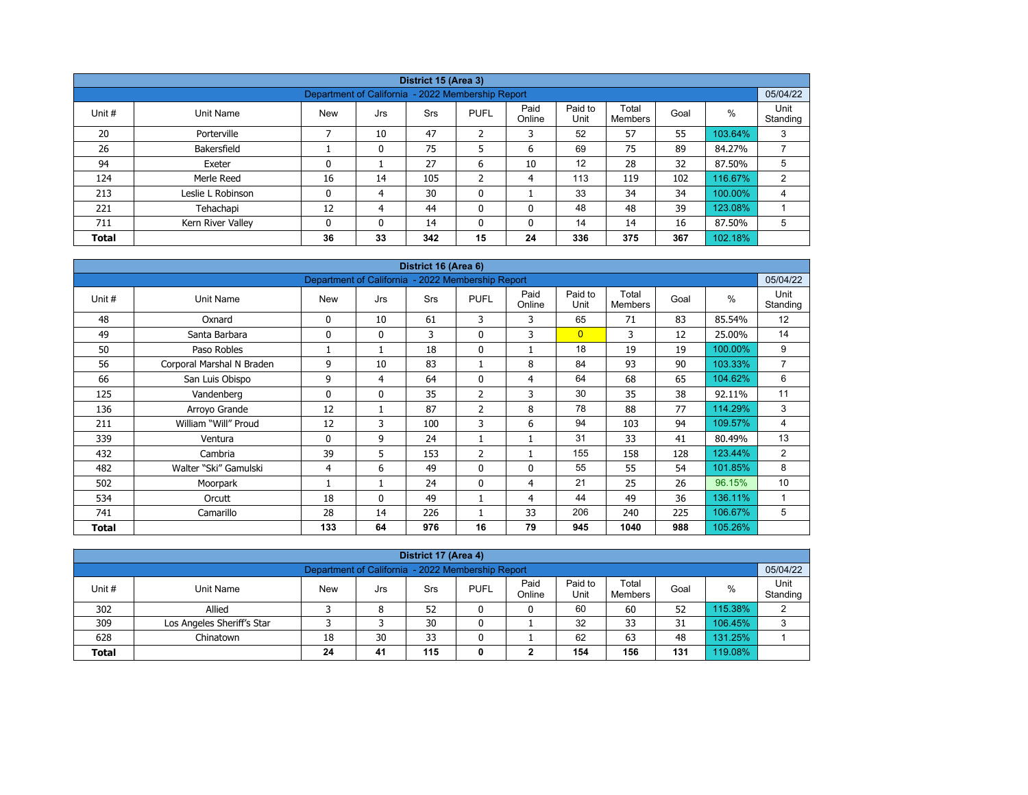|              |                   |                                                   |          | District 15 (Area 3) |                |                |                 |                  |      |         |                  |
|--------------|-------------------|---------------------------------------------------|----------|----------------------|----------------|----------------|-----------------|------------------|------|---------|------------------|
|              |                   | Department of California - 2022 Membership Report |          |                      |                |                |                 |                  |      |         | 05/04/22         |
| Unit #       | Unit Name         | <b>New</b>                                        | Jrs      | Srs                  | <b>PUFL</b>    | Paid<br>Online | Paid to<br>Unit | Total<br>Members | Goal | $\%$    | Unit<br>Standing |
| 20           | Porterville       |                                                   | 10       | 47                   | $\overline{2}$ | 3              | 52              | 57               | 55   | 103.64% | 3                |
| 26           | Bakersfield       |                                                   | 0        | 75                   | 5              | 6              | 69              | 75               | 89   | 84.27%  |                  |
| 94           | Exeter            | 0                                                 |          | 27                   | 6              | 10             | 12              | 28               | 32   | 87.50%  | 5                |
| 124          | Merle Reed        | 16                                                | 14       | 105                  | $\overline{2}$ | 4              | 113             | 119              | 102  | 116.67% | 2                |
| 213          | Leslie L Robinson | 0                                                 | 4        | 30                   | $\mathbf 0$    |                | 33              | 34               | 34   | 100.00% | 4                |
| 221          | Tehachapi         | 12                                                | 4        | 44                   | $\mathbf{0}$   | 0              | 48              | 48               | 39   | 123.08% |                  |
| 711          | Kern River Valley | 0                                                 | $\Omega$ | 14                   | $\mathbf{0}$   | 0              | 14              | 14               | 16   | 87.50%  | 5                |
| <b>Total</b> |                   | 36                                                | 33       | 342                  | 15             | 24             | 336             | 375              | 367  | 102.18% |                  |

| District 16 (Area 6)<br>Department of California - 2022 Membership Report |                           |            |              |     |                |                |                 |                         |      |         |                  |  |  |
|---------------------------------------------------------------------------|---------------------------|------------|--------------|-----|----------------|----------------|-----------------|-------------------------|------|---------|------------------|--|--|
|                                                                           |                           |            |              |     |                |                |                 |                         |      |         | 05/04/22         |  |  |
| Unit #                                                                    | Unit Name                 | <b>New</b> | Jrs          | Srs | <b>PUFL</b>    | Paid<br>Online | Paid to<br>Unit | Total<br><b>Members</b> | Goal | $\%$    | Unit<br>Standing |  |  |
| 48                                                                        | Oxnard                    | 0          | 10           | 61  | 3              | 3              | 65              | 71                      | 83   | 85.54%  | 12               |  |  |
| 49                                                                        | Santa Barbara             | 0          | $\mathbf{0}$ | 3   | $\mathbf{0}$   | 3              | $\overline{0}$  | 3                       | 12   | 25.00%  | 14               |  |  |
| 50                                                                        | Paso Robles               |            | 1            | 18  | $\mathbf 0$    |                | 18              | 19                      | 19   | 100.00% | 9                |  |  |
| 56                                                                        | Corporal Marshal N Braden | 9          | 10           | 83  |                | 8              | 84              | 93                      | 90   | 103.33% | $\overline{7}$   |  |  |
| 66                                                                        | San Luis Obispo           | 9          | 4            | 64  | $\mathbf{0}$   | 4              | 64              | 68                      | 65   | 104.62% | 6                |  |  |
| 125                                                                       | Vandenberg                | 0          | $\mathbf{0}$ | 35  | 2              | 3              | 30              | 35                      | 38   | 92.11%  | 11               |  |  |
| 136                                                                       | Arroyo Grande             | 12         | 1            | 87  | $\overline{2}$ | 8              | 78              | 88                      | 77   | 114.29% | 3                |  |  |
| 211                                                                       | William "Will" Proud      | 12         | 3            | 100 | 3              | 6              | 94              | 103                     | 94   | 109.57% | 4                |  |  |
| 339                                                                       | Ventura                   | 0          | 9            | 24  |                |                | 31              | 33                      | 41   | 80.49%  | 13               |  |  |
| 432                                                                       | Cambria                   | 39         | 5            | 153 | $\overline{2}$ |                | 155             | 158                     | 128  | 123.44% | 2                |  |  |
| 482                                                                       | Walter "Ski" Gamulski     | 4          | 6            | 49  | $\mathbf{0}$   | $\Omega$       | 55              | 55                      | 54   | 101.85% | 8                |  |  |
| 502                                                                       | Moorpark                  |            | 1            | 24  | $\mathbf{0}$   | $\overline{4}$ | 21              | 25                      | 26   | 96.15%  | 10               |  |  |
| 534                                                                       | Orcutt                    | 18         | $\mathbf{0}$ | 49  |                | 4              | 44              | 49                      | 36   | 136.11% | 1                |  |  |
| 741                                                                       | Camarillo                 | 28         | 14           | 226 |                | 33             | 206             | 240                     | 225  | 106.67% | 5                |  |  |
| <b>Total</b>                                                              |                           | 133        | 64           | 976 | 16             | 79             | 945             | 1040                    | 988  | 105.26% |                  |  |  |

| District 17 (Area 4)                                                                                                                                     |                                                               |    |    |    |  |   |    |    |    |         |   |  |  |  |  |
|----------------------------------------------------------------------------------------------------------------------------------------------------------|---------------------------------------------------------------|----|----|----|--|---|----|----|----|---------|---|--|--|--|--|
|                                                                                                                                                          | Department of California - 2022 Membership Report<br>05/04/22 |    |    |    |  |   |    |    |    |         |   |  |  |  |  |
| Paid to<br>Paid<br>Unit<br>Total<br><b>PUFL</b><br>Unit #<br><b>New</b><br>%<br>Goal<br>Unit Name<br>Srs<br>Jrs<br>Unit<br>Standing<br>Online<br>Members |                                                               |    |    |    |  |   |    |    |    |         |   |  |  |  |  |
| 302                                                                                                                                                      | Allied                                                        |    | 8  | 52 |  | 0 | 60 | 60 | 52 | 115.38% | ົ |  |  |  |  |
| 309                                                                                                                                                      | Los Angeles Sheriff's Star                                    |    |    | 30 |  |   | 32 | 33 | 31 | 106.45% | 3 |  |  |  |  |
| 628                                                                                                                                                      | Chinatown                                                     | 18 | 30 | 33 |  |   | 62 | 63 | 48 | 131.25% |   |  |  |  |  |
| 19.08%<br>115<br>154<br>156<br>131<br>41<br>24<br><b>Total</b><br>◠<br>0<br>∠                                                                            |                                                               |    |    |    |  |   |    |    |    |         |   |  |  |  |  |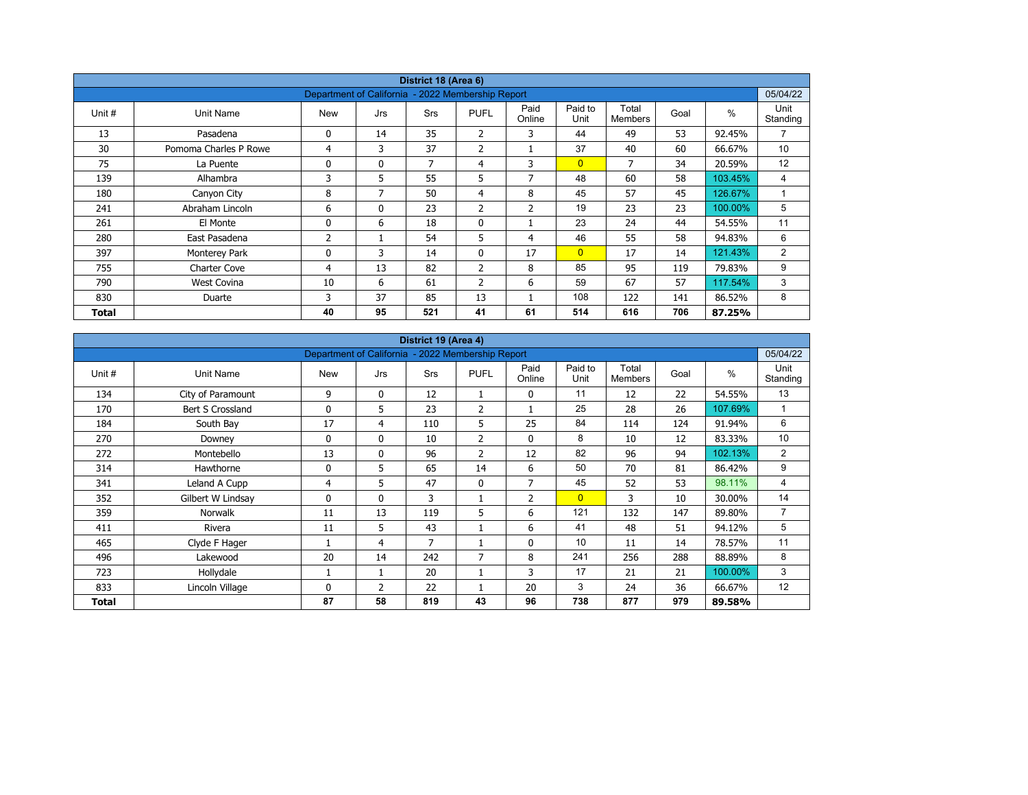|        |                       |                                                   |              | District 18 (Area 6) |                |                |                 |                         |      |         |                  |
|--------|-----------------------|---------------------------------------------------|--------------|----------------------|----------------|----------------|-----------------|-------------------------|------|---------|------------------|
|        |                       | Department of California - 2022 Membership Report |              |                      |                |                |                 |                         |      |         | 05/04/22         |
| Unit # | Unit Name             | <b>New</b>                                        | Jrs          | <b>Srs</b>           | <b>PUFL</b>    | Paid<br>Online | Paid to<br>Unit | Total<br><b>Members</b> | Goal | $\%$    | Unit<br>Standing |
| 13     | Pasadena              | 0                                                 | 14           | 35                   | 2              | 3              | 44              | 49                      | 53   | 92.45%  | $\overline{7}$   |
| 30     | Pomoma Charles P Rowe | 4                                                 | 3            | 37                   | 2              |                | 37              | 40                      | 60   | 66.67%  | 10               |
| 75     | La Puente             | 0                                                 | $\mathbf{0}$ | 7                    | 4              | 3              | $\overline{0}$  | 7                       | 34   | 20.59%  | 12               |
| 139    | Alhambra              | 3                                                 | 5            | 55                   | 5              | $\overline{7}$ | 48              | 60                      | 58   | 103.45% | 4                |
| 180    | Canyon City           | 8                                                 | 7            | 50                   | $\overline{4}$ | 8              | 45              | 57                      | 45   | 126.67% |                  |
| 241    | Abraham Lincoln       | 6                                                 | $\mathbf{0}$ | 23                   | 2              | $\overline{2}$ | 19              | 23                      | 23   | 100.00% | 5                |
| 261    | El Monte              | 0                                                 | 6            | 18                   | $\mathbf 0$    |                | 23              | 24                      | 44   | 54.55%  | 11               |
| 280    | East Pasadena         | 2                                                 |              | 54                   | 5              | 4              | 46              | 55                      | 58   | 94.83%  | 6                |
| 397    | Monterey Park         | 0                                                 | 3            | 14                   | $\mathbf{0}$   | 17             | $\overline{0}$  | 17                      | 14   | 121.43% | 2                |
| 755    | Charter Cove          | 4                                                 | 13           | 82                   | $\overline{2}$ | 8              | 85              | 95                      | 119  | 79.83%  | 9                |
| 790    | West Covina           | 10                                                | 6            | 61                   | $\overline{2}$ | 6              | 59              | 67                      | 57   | 117.54% | 3                |
| 830    | Duarte                | 3                                                 | 37           | 85                   | 13             |                | 108             | 122                     | 141  | 86.52%  | 8                |
| Total  |                       | 40                                                | 95           | 521                  | 41             | 61             | 514             | 616                     | 706  | 87.25%  |                  |

|        |                   |                                                   |                | District 19 (Area 4) |                |                |                 |                         |      |               |                  |
|--------|-------------------|---------------------------------------------------|----------------|----------------------|----------------|----------------|-----------------|-------------------------|------|---------------|------------------|
|        |                   | Department of California - 2022 Membership Report |                |                      |                |                |                 |                         |      |               | 05/04/22         |
| Unit # | Unit Name         | <b>New</b>                                        | Jrs            | Srs                  | <b>PUFL</b>    | Paid<br>Online | Paid to<br>Unit | Total<br><b>Members</b> | Goal | $\frac{0}{0}$ | Unit<br>Standing |
| 134    | City of Paramount | 9                                                 | $\mathbf 0$    | 12                   |                | 0              | 11              | 12                      | 22   | 54.55%        | 13               |
| 170    | Bert S Crossland  | 0                                                 | 5              | 23                   | $\overline{2}$ | $\mathbf{1}$   | 25              | 28                      | 26   | 107.69%       | 1                |
| 184    | South Bay         | 17                                                | 4              | 110                  | 5              | 25             | 84              | 114                     | 124  | 91.94%        | 6                |
| 270    | Downey            | 0                                                 | $\mathbf{0}$   | 10                   | 2              | 0              | 8               | 10                      | 12   | 83.33%        | 10               |
| 272    | Montebello        | 13                                                | $\mathbf 0$    | 96                   | $\overline{2}$ | 12             | 82              | 96                      | 94   | 102.13%       | $\overline{2}$   |
| 314    | Hawthorne         | 0                                                 | 5              | 65                   | 14             | 6              | 50              | 70                      | 81   | 86.42%        | 9                |
| 341    | Leland A Cupp     | 4                                                 | 5.             | 47                   | $\mathbf{0}$   | 7              | 45              | 52                      | 53   | 98.11%        | 4                |
| 352    | Gilbert W Lindsay | 0                                                 | $\mathbf{0}$   | 3                    |                | $\overline{2}$ | $\overline{0}$  | 3                       | 10   | 30.00%        | 14               |
| 359    | Norwalk           | 11                                                | 13             | 119                  | 5              | 6              | 121             | 132                     | 147  | 89.80%        | $\overline{7}$   |
| 411    | Rivera            | 11                                                | 5              | 43                   |                | 6              | 41              | 48                      | 51   | 94.12%        | 5                |
| 465    | Clyde F Hager     |                                                   | 4              | 7                    |                | 0              | 10              | 11                      | 14   | 78.57%        | 11               |
| 496    | Lakewood          | 20                                                | 14             | 242                  | $\overline{7}$ | 8              | 241             | 256                     | 288  | 88.89%        | 8                |
| 723    | Hollydale         |                                                   | $\mathbf{1}$   | 20                   |                | 3              | 17              | 21                      | 21   | 100.00%       | 3                |
| 833    | Lincoln Village   | 0                                                 | $\overline{2}$ | 22                   |                | 20             | 3               | 24                      | 36   | 66.67%        | 12               |
| Total  |                   | 87                                                | 58             | 819                  | 43             | 96             | 738             | 877                     | 979  | 89.58%        |                  |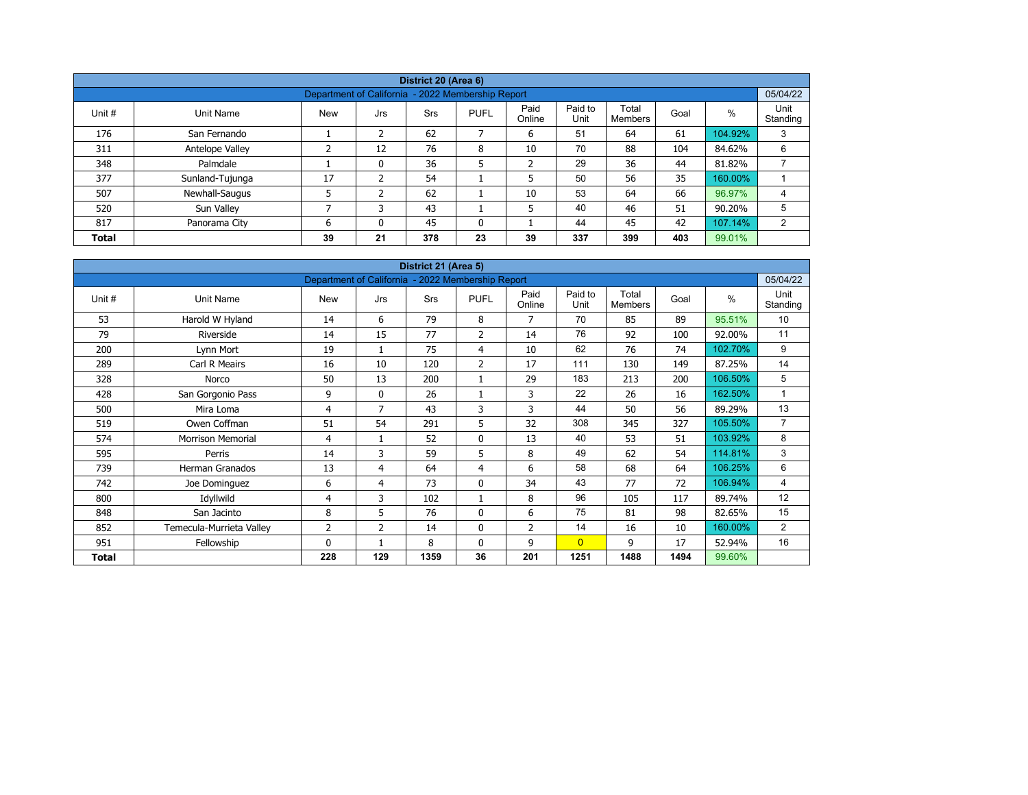|              |                 |                                                   |     | District 20 (Area 6) |              |                |                 |                  |      |         |                  |
|--------------|-----------------|---------------------------------------------------|-----|----------------------|--------------|----------------|-----------------|------------------|------|---------|------------------|
|              |                 | Department of California - 2022 Membership Report |     |                      |              |                |                 |                  |      |         | 05/04/22         |
| Unit #       | Unit Name       | <b>New</b>                                        | Jrs | <b>Srs</b>           | <b>PUFL</b>  | Paid<br>Online | Paid to<br>Unit | Total<br>Members | Goal | %       | Unit<br>Standing |
| 176          | San Fernando    |                                                   | 2   | 62                   | 7            | 6              | 51              | 64               | 61   | 104.92% | 3                |
| 311          | Antelope Valley | ∍                                                 | 12  | 76                   | 8            | 10             | 70              | 88               | 104  | 84.62%  | 6                |
| 348          | Palmdale        |                                                   | 0   | 36                   | 5            | $\overline{2}$ | 29              | 36               | 44   | 81.82%  |                  |
| 377          | Sunland-Tujunga | 17                                                | ຳ   | 54                   |              | 5              | 50              | 56               | 35   | 160.00% |                  |
| 507          | Newhall-Saugus  |                                                   | 2   | 62                   |              | 10             | 53              | 64               | 66   | 96.97%  | 4                |
| 520          | Sun Valley      | ⇁                                                 |     | 43                   |              | 5              | 40              | 46               | 51   | 90.20%  | 5                |
| 817          | Panorama City   | 6                                                 | 0   | 45                   | $\mathbf{0}$ |                | 44              | 45               | 42   | 107.14% | 2                |
| <b>Total</b> |                 | 39                                                | 21  | 378                  | 23           | 39             | 337             | 399              | 403  | 99.01%  |                  |

|              |                          |                                                   |              | District 21 (Area 5) |                |                |                 |                         |      |         |                  |
|--------------|--------------------------|---------------------------------------------------|--------------|----------------------|----------------|----------------|-----------------|-------------------------|------|---------|------------------|
|              |                          | Department of California - 2022 Membership Report |              |                      |                |                |                 |                         |      |         | 05/04/22         |
| Unit #       | Unit Name                | <b>New</b>                                        | Jrs          | <b>Srs</b>           | <b>PUFL</b>    | Paid<br>Online | Paid to<br>Unit | Total<br><b>Members</b> | Goal | $\%$    | Unit<br>Standing |
| 53           | Harold W Hyland          | 14                                                | 6            | 79                   | 8              | $\overline{7}$ | 70              | 85                      | 89   | 95.51%  | 10               |
| 79           | Riverside                | 14                                                | 15           | 77                   | $\overline{2}$ | 14             | 76              | 92                      | 100  | 92.00%  | 11               |
| 200          | Lynn Mort                | 19                                                | 1            | 75                   | 4              | 10             | 62              | 76                      | 74   | 102.70% | 9                |
| 289          | Carl R Meairs            | 16                                                | 10           | 120                  | $\overline{2}$ | 17             | 111             | 130                     | 149  | 87.25%  | 14               |
| 328          | Norco                    | 50                                                | 13           | 200                  | 1              | 29             | 183             | 213                     | 200  | 106.50% | 5                |
| 428          | San Gorgonio Pass        | 9                                                 | $\mathbf{0}$ | 26                   |                | 3              | 22              | 26                      | 16   | 162.50% | $\mathbf{1}$     |
| 500          | Mira Loma                | 4                                                 | 7            | 43                   | 3              | 3              | 44              | 50                      | 56   | 89.29%  | 13               |
| 519          | Owen Coffman             | 51                                                | 54           | 291                  | 5              | 32             | 308             | 345                     | 327  | 105.50% | $\overline{7}$   |
| 574          | <b>Morrison Memorial</b> | 4                                                 | $\mathbf{1}$ | 52                   | 0              | 13             | 40              | 53                      | 51   | 103.92% | 8                |
| 595          | Perris                   | 14                                                | 3            | 59                   | 5              | 8              | 49              | 62                      | 54   | 114.81% | 3                |
| 739          | Herman Granados          | 13                                                | 4            | 64                   | 4              | 6              | 58              | 68                      | 64   | 106.25% | 6                |
| 742          | Joe Dominguez            | 6                                                 | 4            | 73                   | $\mathbf 0$    | 34             | 43              | 77                      | 72   | 106.94% | 4                |
| 800          | Idyllwild                | 4                                                 | 3            | 102                  | 1              | 8              | 96              | 105                     | 117  | 89.74%  | 12               |
| 848          | San Jacinto              | 8                                                 | 5            | 76                   | 0              | 6              | 75              | 81                      | 98   | 82.65%  | 15               |
| 852          | Temecula-Murrieta Valley | $\overline{2}$                                    | 2            | 14                   | 0              | $\overline{2}$ | 14              | 16                      | 10   | 160.00% | $\overline{2}$   |
| 951          | Fellowship               | 0                                                 | 1            | 8                    | $\mathbf{0}$   | 9              | $\overline{0}$  | 9                       | 17   | 52.94%  | 16               |
| <b>Total</b> |                          | 228                                               | 129          | 1359                 | 36             | 201            | 1251            | 1488                    | 1494 | 99.60%  |                  |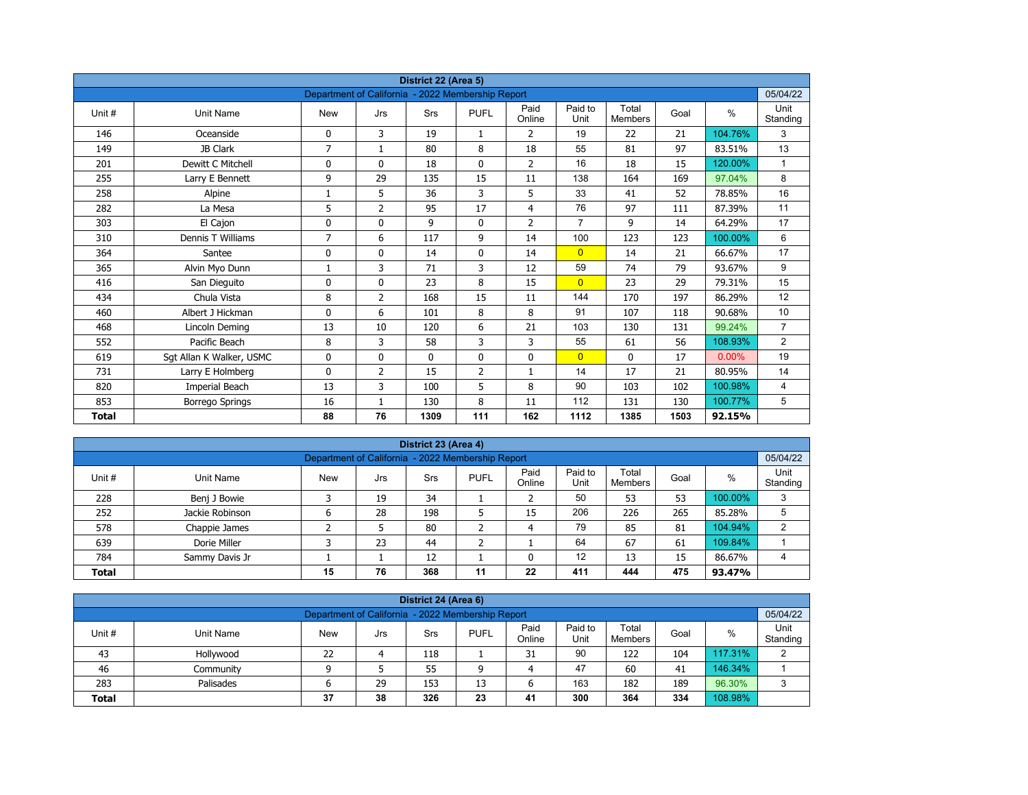|              |                          |                                                   |                | District 22 (Area 5) |                |                |                 |                         |      |         |                  |
|--------------|--------------------------|---------------------------------------------------|----------------|----------------------|----------------|----------------|-----------------|-------------------------|------|---------|------------------|
|              |                          | Department of California - 2022 Membership Report |                |                      |                |                |                 |                         |      |         | 05/04/22         |
| Unit#        | <b>Unit Name</b>         | <b>New</b>                                        | Jrs            | Srs                  | <b>PUFL</b>    | Paid<br>Online | Paid to<br>Unit | Total<br><b>Members</b> | Goal | $\%$    | Unit<br>Standing |
| 146          | Oceanside                | 0                                                 | 3              | 19                   | $\mathbf{1}$   | 2              | 19              | 22                      | 21   | 104.76% | 3                |
| 149          | JB Clark                 | $\overline{7}$                                    | $\mathbf{1}$   | 80                   | 8              | 18             | 55              | 81                      | 97   | 83.51%  | 13               |
| 201          | Dewitt C Mitchell        | 0                                                 | $\mathbf{0}$   | 18                   | $\mathbf{0}$   | $\overline{2}$ | 16              | 18                      | 15   | 120.00% | $\mathbf{1}$     |
| 255          | Larry E Bennett          | 9                                                 | 29             | 135                  | 15             | 11             | 138             | 164                     | 169  | 97.04%  | 8                |
| 258          | Alpine                   | 1                                                 | 5              | 36                   | 3              | 5              | 33              | 41                      | 52   | 78.85%  | 16               |
| 282          | La Mesa                  | 5                                                 | $\overline{2}$ | 95                   | 17             | $\overline{4}$ | 76              | 97                      | 111  | 87.39%  | 11               |
| 303          | El Cajon                 | 0                                                 | 0              | 9                    | $\mathbf 0$    | $\overline{2}$ | $\overline{7}$  | 9                       | 14   | 64.29%  | 17               |
| 310          | Dennis T Williams        | 7                                                 | 6              | 117                  | 9              | 14             | 100             | 123                     | 123  | 100.00% | 6                |
| 364          | Santee                   | 0                                                 | 0              | 14                   | 0              | 14             | $\overline{0}$  | 14                      | 21   | 66.67%  | 17               |
| 365          | Alvin Myo Dunn           | 1                                                 | 3              | 71                   | 3              | 12             | 59              | 74                      | 79   | 93.67%  | 9                |
| 416          | San Dieguito             | $\mathbf{0}$                                      | $\Omega$       | 23                   | 8              | 15             | $\overline{0}$  | 23                      | 29   | 79.31%  | 15               |
| 434          | Chula Vista              | 8                                                 | $\overline{2}$ | 168                  | 15             | 11             | 144             | 170                     | 197  | 86.29%  | 12               |
| 460          | Albert J Hickman         | 0                                                 | 6              | 101                  | 8              | 8              | 91              | 107                     | 118  | 90.68%  | 10               |
| 468          | Lincoln Deming           | 13                                                | 10             | 120                  | 6              | 21             | 103             | 130                     | 131  | 99.24%  | $\overline{7}$   |
| 552          | Pacific Beach            | 8                                                 | 3              | 58                   | 3              | 3              | 55              | 61                      | 56   | 108.93% | $\overline{2}$   |
| 619          | Sgt Allan K Walker, USMC | 0                                                 | 0              | $\mathbf 0$          | $\mathbf 0$    | 0              | $\overline{0}$  | 0                       | 17   | 0.00%   | 19               |
| 731          | Larry E Holmberg         | 0                                                 | 2              | 15                   | $\overline{2}$ | $\mathbf{1}$   | 14              | 17                      | 21   | 80.95%  | 14               |
| 820          | Imperial Beach           | 13                                                | 3              | 100                  | 5              | 8              | 90              | 103                     | 102  | 100.98% | 4                |
| 853          | <b>Borrego Springs</b>   | 16                                                | $\mathbf{1}$   | 130                  | 8              | 11             | 112             | 131                     | 130  | 100.77% | 5                |
| <b>Total</b> |                          | 88                                                | 76             | 1309                 | 111            | 162            | 1112            | 1385                    | 1503 | 92.15%  |                  |

| District 23 (Area 4) |                                                                                                                                                       |                                                   |    |     |    |    |     |     |     |         |          |  |  |  |
|----------------------|-------------------------------------------------------------------------------------------------------------------------------------------------------|---------------------------------------------------|----|-----|----|----|-----|-----|-----|---------|----------|--|--|--|
|                      |                                                                                                                                                       | Department of California - 2022 Membership Report |    |     |    |    |     |     |     |         | 05/04/22 |  |  |  |
| Unit#                | Paid<br>Paid to<br>Total<br>Unit<br>%<br><b>PUFL</b><br>Goal<br><b>New</b><br>Unit Name<br>Srs<br>Jrs<br>Standing<br>Unit<br>Online<br><b>Members</b> |                                                   |    |     |    |    |     |     |     |         |          |  |  |  |
| 228                  | Benj J Bowie                                                                                                                                          |                                                   | 19 | 34  |    |    | 50  | 53  | 53  | 100.00% | 3        |  |  |  |
| 252                  | Jackie Robinson                                                                                                                                       | 6                                                 | 28 | 198 | ∍  | 15 | 206 | 226 | 265 | 85.28%  | 5        |  |  |  |
| 578                  | Chappie James                                                                                                                                         |                                                   |    | 80  |    | 4  | 79  | 85  | 81  | 104.94% | っ        |  |  |  |
| 639                  | Dorie Miller                                                                                                                                          |                                                   | 23 | 44  | ╮  |    | 64  | 67  | 61  | 109.84% |          |  |  |  |
| 784                  | Sammy Davis Jr                                                                                                                                        |                                                   |    | 12  |    |    | 12  | 13  | 15  | 86.67%  | 4        |  |  |  |
| <b>Total</b>         |                                                                                                                                                       | 15                                                | 76 | 368 | 11 | 22 | 411 | 444 | 475 | 93.47%  |          |  |  |  |

| District 24 (Area 6)                                                                                                                                     |                                                             |    |    |     |    |    |     |     |     |         |   |  |  |
|----------------------------------------------------------------------------------------------------------------------------------------------------------|-------------------------------------------------------------|----|----|-----|----|----|-----|-----|-----|---------|---|--|--|
|                                                                                                                                                          |                                                             |    |    |     |    |    |     |     |     |         |   |  |  |
| 05/04/22<br>Department of California - 2022 Membership Report                                                                                            |                                                             |    |    |     |    |    |     |     |     |         |   |  |  |
| Paid<br>Paid to<br>Unit<br>Total<br>Unit #<br><b>PUFL</b><br>%<br>Goal<br>Unit Name<br><b>New</b><br>Srs<br>Jrs<br>Standing<br>Online<br>Unit<br>Members |                                                             |    |    |     |    |    |     |     |     |         |   |  |  |
| 43                                                                                                                                                       | Hollywood                                                   | 22 |    | 118 |    | 31 | 90  | 122 | 104 | 117.31% | C |  |  |
| 46                                                                                                                                                       | Community                                                   |    |    | 55  | a  | 4  | 47  | 60  | 41  | 146.34% |   |  |  |
| 283                                                                                                                                                      | Palisades                                                   | ס  | 29 | 153 | 13 | ь  | 163 | 182 | 189 | 96.30%  | 3 |  |  |
| <b>Total</b>                                                                                                                                             | 300<br>108.98%<br>38<br>326<br>23<br>334<br>37<br>41<br>364 |    |    |     |    |    |     |     |     |         |   |  |  |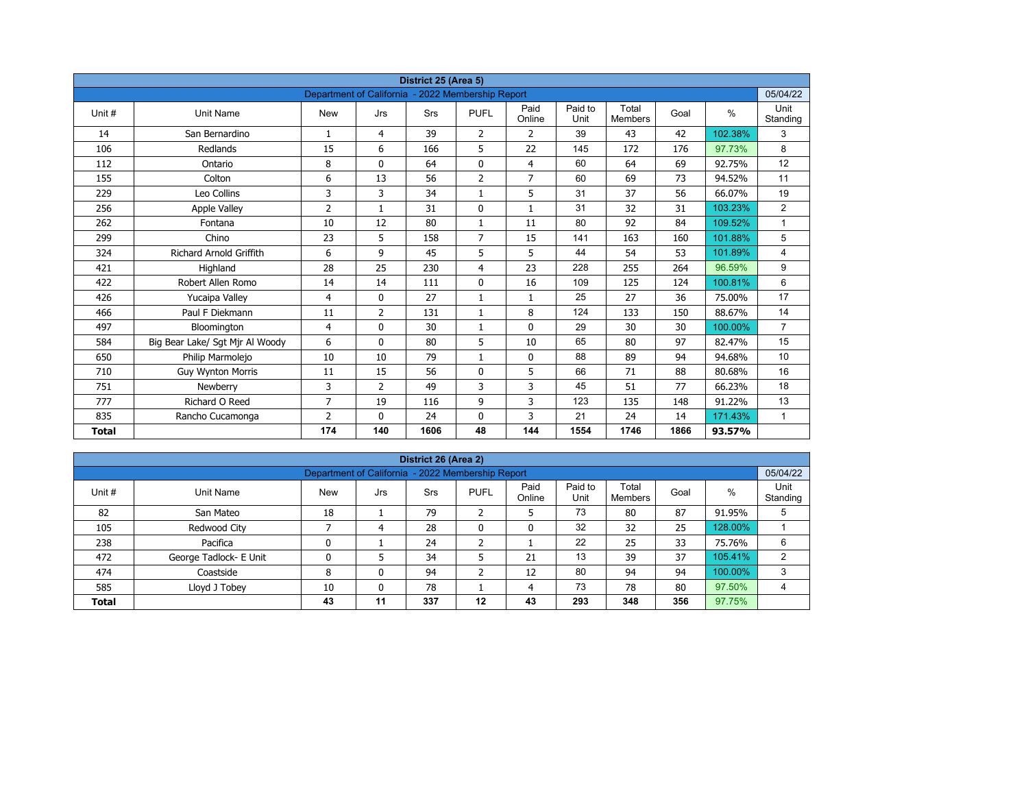|              |                                 |                                                   |                | District 25 (Area 5) |                |                |                 |                         |      |               |                  |
|--------------|---------------------------------|---------------------------------------------------|----------------|----------------------|----------------|----------------|-----------------|-------------------------|------|---------------|------------------|
|              |                                 | Department of California - 2022 Membership Report |                |                      |                |                |                 |                         |      |               | 05/04/22         |
| Unit#        | <b>Unit Name</b>                | <b>New</b>                                        | Jrs            | Srs                  | <b>PUFL</b>    | Paid<br>Online | Paid to<br>Unit | Total<br><b>Members</b> | Goal | $\frac{0}{0}$ | Unit<br>Standing |
| 14           | San Bernardino                  | $\mathbf{1}$                                      | 4              | 39                   | $\overline{2}$ | 2              | 39              | 43                      | 42   | 102.38%       | 3                |
| 106          | Redlands                        | 15                                                | 6              | 166                  | 5              | 22             | 145             | 172                     | 176  | 97.73%        | 8                |
| 112          | Ontario                         | 8                                                 | 0              | 64                   | $\mathbf 0$    | $\overline{4}$ | 60              | 64                      | 69   | 92.75%        | 12               |
| 155          | Colton                          | 6                                                 | 13             | 56                   | $\overline{2}$ | $\overline{7}$ | 60              | 69                      | 73   | 94.52%        | 11               |
| 229          | Leo Collins                     | 3                                                 | 3              | 34                   | $\mathbf{1}$   | 5              | 31              | 37                      | 56   | 66.07%        | 19               |
| 256          | <b>Apple Valley</b>             | $\overline{2}$                                    | $\mathbf{1}$   | 31                   | $\mathbf 0$    | $\mathbf{1}$   | 31              | 32                      | 31   | 103.23%       | $\overline{2}$   |
| 262          | Fontana                         | 10                                                | 12             | 80                   | $\mathbf{1}$   | 11             | 80              | 92                      | 84   | 109.52%       | $\mathbf{1}$     |
| 299          | Chino                           | 23                                                | 5              | 158                  | $\overline{7}$ | 15             | 141             | 163                     | 160  | 101.88%       | 5                |
| 324          | <b>Richard Arnold Griffith</b>  | 6                                                 | 9              | 45                   | 5              | 5              | 44              | 54                      | 53   | 101.89%       | 4                |
| 421          | Highland                        | 28                                                | 25             | 230                  | 4              | 23             | 228             | 255                     | 264  | 96.59%        | 9                |
| 422          | Robert Allen Romo               | 14                                                | 14             | 111                  | $\mathbf 0$    | 16             | 109             | 125                     | 124  | 100.81%       | 6                |
| 426          | Yucaipa Valley                  | 4                                                 | 0              | 27                   | $\mathbf{1}$   | $\mathbf{1}$   | 25              | 27                      | 36   | 75.00%        | 17               |
| 466          | Paul F Diekmann                 | 11                                                | 2              | 131                  | $\mathbf{1}$   | 8              | 124             | 133                     | 150  | 88.67%        | 14               |
| 497          | Bloomington                     | 4                                                 | $\Omega$       | 30                   | $\mathbf{1}$   | $\mathbf{0}$   | 29              | 30                      | 30   | 100.00%       | $\overline{7}$   |
| 584          | Big Bear Lake/ Sgt Mjr Al Woody | 6                                                 | $\mathbf{0}$   | 80                   | 5              | 10             | 65              | 80                      | 97   | 82.47%        | 15               |
| 650          | Philip Marmolejo                | 10                                                | 10             | 79                   | $\mathbf{1}$   | $\mathbf{0}$   | 88              | 89                      | 94   | 94.68%        | 10               |
| 710          | <b>Guy Wynton Morris</b>        | 11                                                | 15             | 56                   | $\Omega$       | 5              | 66              | 71                      | 88   | 80.68%        | 16               |
| 751          | Newberry                        | 3                                                 | $\overline{2}$ | 49                   | 3              | 3              | 45              | 51                      | 77   | 66.23%        | 18               |
| 777          | Richard O Reed                  | $\overline{7}$                                    | 19             | 116                  | 9              | 3              | 123             | 135                     | 148  | 91.22%        | 13               |
| 835          | Rancho Cucamonga                | $\overline{2}$                                    | $\mathbf{0}$   | 24                   | 0              | 3              | 21              | 24                      | 14   | 171.43%       | $\mathbf{1}$     |
| <b>Total</b> |                                 | 174                                               | 140            | 1606                 | 48             | 144            | 1554            | 1746                    | 1866 | 93.57%        |                  |

| District 26 (Area 2) |                        |                                                   |     |     |              |                |                 |                         |      |         |                  |  |  |  |
|----------------------|------------------------|---------------------------------------------------|-----|-----|--------------|----------------|-----------------|-------------------------|------|---------|------------------|--|--|--|
|                      |                        | Department of California - 2022 Membership Report |     |     |              |                |                 |                         |      |         | 05/04/22         |  |  |  |
| Unit #               | Unit Name              | <b>New</b>                                        | Jrs | Srs | <b>PUFL</b>  | Paid<br>Online | Paid to<br>Unit | Total<br><b>Members</b> | Goal | %       | Unit<br>Standing |  |  |  |
| 82                   | San Mateo              | 18                                                |     | 79  | h<br>∠       | כ              | 73              | 80                      | 87   | 91.95%  | 5                |  |  |  |
| 105                  | Redwood City           |                                                   | 4   | 28  | $\mathbf{0}$ | 0              | 32              | 32                      | 25   | 128.00% |                  |  |  |  |
| 238                  | Pacifica               | 0                                                 |     | 24  | h            |                | 22              | 25                      | 33   | 75.76%  | 6                |  |  |  |
| 472                  | George Tadlock- E Unit | 0                                                 |     | 34  |              | 21             | 13              | 39                      | 37   | 105.41% | 2                |  |  |  |
| 474                  | Coastside              | 8                                                 | 0   | 94  | h<br>∠       | 12             | 80              | 94                      | 94   | 100.00% | 3                |  |  |  |
| 585                  | Lloyd J Tobey          | 10                                                | 0   | 78  |              | 4              | 73              | 78                      | 80   | 97.50%  | 4                |  |  |  |
| <b>Total</b>         |                        | 43                                                | 11  | 337 | $12 \,$      | 43             | 293             | 348                     | 356  | 97.75%  |                  |  |  |  |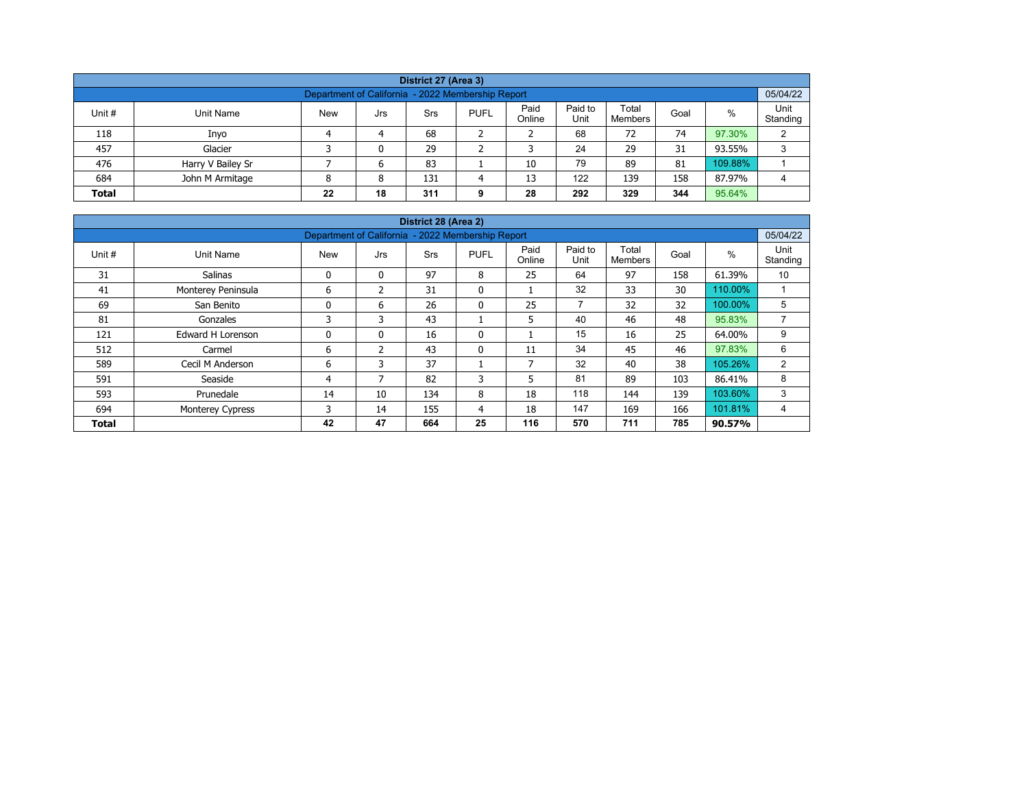| District 27 (Area 3)                                                                                                                                    |                                                                            |  |   |    |  |    |    |    |    |         |   |  |  |  |
|---------------------------------------------------------------------------------------------------------------------------------------------------------|----------------------------------------------------------------------------|--|---|----|--|----|----|----|----|---------|---|--|--|--|
| 05/04/22<br>Department of California - 2022 Membership Report                                                                                           |                                                                            |  |   |    |  |    |    |    |    |         |   |  |  |  |
| Paid<br>Paid to<br>Total<br>%<br>Unit #<br><b>New</b><br><b>PUFL</b><br>Unit Name<br>Srs<br>Goal<br>Jrs<br>Unit<br>Online<br>Standing<br><b>Members</b> |                                                                            |  |   |    |  |    |    |    |    |         |   |  |  |  |
| 118                                                                                                                                                     | Inyo                                                                       |  | 4 | 68 |  |    | 68 | 72 | 74 | 97.30%  | C |  |  |  |
| 457                                                                                                                                                     | Glacier                                                                    |  | 0 | 29 |  |    | 24 | 29 | 31 | 93.55%  | 3 |  |  |  |
| 476                                                                                                                                                     | Harry V Bailey Sr                                                          |  | 6 | 83 |  | 10 | 79 | 89 | 81 | 109.88% |   |  |  |  |
| 684                                                                                                                                                     | 122<br>158<br>John M Armitage<br>13<br>139<br>87.97%<br>131<br>8<br>4<br>Δ |  |   |    |  |    |    |    |    |         |   |  |  |  |
| 292<br>344<br>95.64%<br>18<br>329<br>22<br>311<br>28<br><b>Total</b><br>g                                                                               |                                                                            |  |   |    |  |    |    |    |    |         |   |  |  |  |

|              |                         |                                                   |                | District 28 (Area 2) |              |                |                 |                         |      |         |                  |
|--------------|-------------------------|---------------------------------------------------|----------------|----------------------|--------------|----------------|-----------------|-------------------------|------|---------|------------------|
|              |                         | Department of California - 2022 Membership Report |                |                      |              |                |                 |                         |      |         | 05/04/22         |
| Unit #       | Unit Name               | <b>New</b>                                        | Jrs            | <b>Srs</b>           | <b>PUFL</b>  | Paid<br>Online | Paid to<br>Unit | Total<br><b>Members</b> | Goal | %       | Unit<br>Standing |
| 31           | <b>Salinas</b>          | 0                                                 | $\mathbf{0}$   | 97                   | 8            | 25             | 64              | 97                      | 158  | 61.39%  | 10               |
| 41           | Monterey Peninsula      | 6                                                 | $\mathcal{P}$  | 31                   | $\mathbf{0}$ |                | 32              | 33                      | 30   | 110.00% |                  |
| 69           | San Benito              | 0                                                 | 6              | 26                   | 0            | 25             | $\overline{7}$  | 32                      | 32   | 100.00% | 5                |
| 81           | Gonzales                | 3                                                 | 3              | 43                   |              | 5              | 40              | 46                      | 48   | 95.83%  | ⇁                |
| 121          | Edward H Lorenson       | 0                                                 | $\mathbf{0}$   | 16                   | $\mathbf{0}$ |                | 15              | 16                      | 25   | 64.00%  | 9                |
| 512          | Carmel                  | 6                                                 | $\overline{2}$ | 43                   | $\mathbf{0}$ | 11             | 34              | 45                      | 46   | 97.83%  | 6                |
| 589          | Cecil M Anderson        | 6                                                 | 3              | 37                   |              | $\overline{ }$ | 32              | 40                      | 38   | 105.26% | 2                |
| 591          | Seaside                 | 4                                                 | 7              | 82                   | 3            | 5              | 81              | 89                      | 103  | 86.41%  | 8                |
| 593          | Prunedale               | 14                                                | 10             | 134                  | 8            | 18             | 118             | 144                     | 139  | 103.60% | 3                |
| 694          | <b>Monterey Cypress</b> | 3                                                 | 14             | 155                  | 4            | 18             | 147             | 169                     | 166  | 101.81% | 4                |
| <b>Total</b> |                         | 42                                                | 47             | 664                  | 25           | 116            | 570             | 711                     | 785  | 90.57%  |                  |